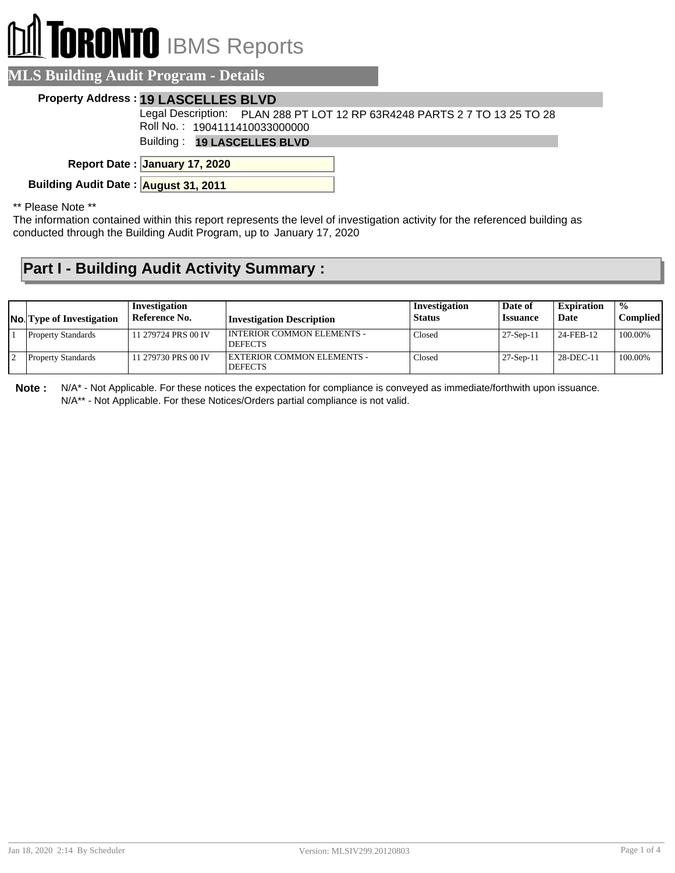## **RONTO** IBMS Reports

| <b>MLS Building Audit Program - Details</b>                                                                |
|------------------------------------------------------------------------------------------------------------|
| <b>Property Address: 19 LASCELLES BLVD</b>                                                                 |
| Legal Description: PLAN 288 PT LOT 12 RP 63R4248 PARTS 2 7 TO 13 25 TO 28<br>Roll No.: 1904111410033000000 |
| <b>Building: 19 LASCELLES BLVD</b>                                                                         |
| Report Date: January 17, 2020                                                                              |

**Building Audit Date : August 31, 2011**

\*\* Please Note \*\*

The information contained within this report represents the level of investigation activity for the referenced building as conducted through the Building Audit Program, up to January 17, 2020

## **Part I - Building Audit Activity Summary :**

| <b>No.</b> Type of Investigation | Investigation<br>Reference No. | Investigation Description                    | Investigation<br><b>Status</b> | Date of<br><b>Issuance</b> | <b>Expiration</b><br>Date | $\frac{0}{0}$<br>Compliedl |
|----------------------------------|--------------------------------|----------------------------------------------|--------------------------------|----------------------------|---------------------------|----------------------------|
| <b>Property Standards</b>        | 11 279724 PRS 00 IV            | INTERIOR COMMON ELEMENTS -<br><b>DEFECTS</b> | Closed                         | $27-Sep-11$                | 24-FEB-12                 | 100.00%                    |
| <b>Property Standards</b>        | 11 279730 PRS 00 IV            | EXTERIOR COMMON ELEMENTS -<br><b>DEFECTS</b> | Closed                         | $27-Sep-11$                | 28-DEC-11                 | 100.00%                    |

**Note :** N/A\* - Not Applicable. For these notices the expectation for compliance is conveyed as immediate/forthwith upon issuance. N/A\*\* - Not Applicable. For these Notices/Orders partial compliance is not valid.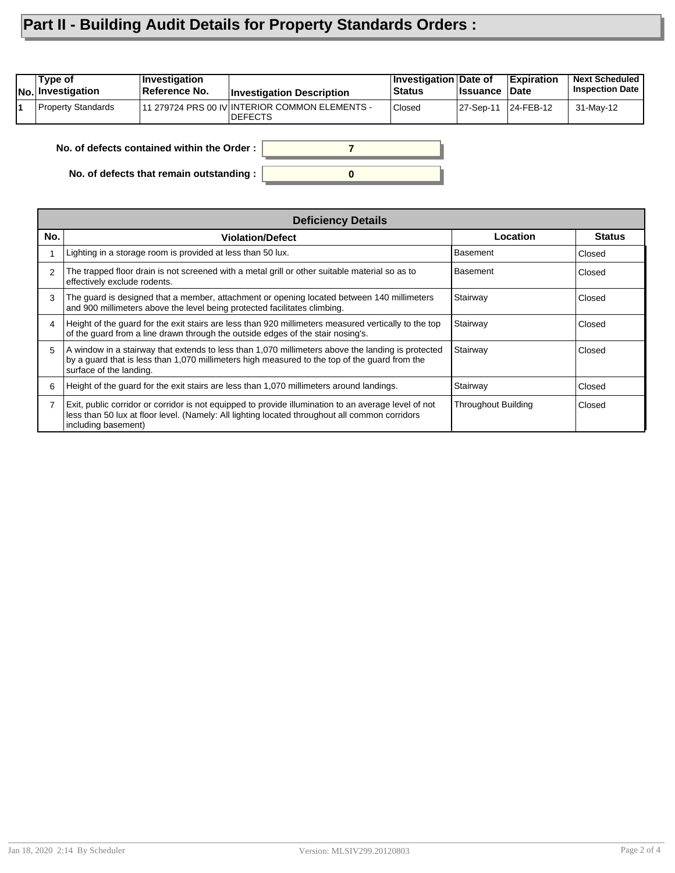## **Part II - Building Audit Details for Property Standards Orders :**

| Type of<br>No. Investigation | <b>Investigation</b><br>Reference No. | <b>Investigation Description</b>                                  | Investigation Date of<br>⊦Status | <b>Issuance</b> | <b>Expiration</b><br>∣Date | <b>Next Scheduled</b><br><b>Inspection Date</b> |
|------------------------------|---------------------------------------|-------------------------------------------------------------------|----------------------------------|-----------------|----------------------------|-------------------------------------------------|
| <b>Property Standards</b>    |                                       | 111 279724 PRS 00 IV INTERIOR COMMON ELEMENTS -<br><b>DEFECTS</b> | Closed                           | 27-Sep-11       | 124-FEB-12                 | 31-May-12                                       |
|                              |                                       |                                                                   |                                  |                 |                            |                                                 |

**0**

**7**

**No. of defects contained within the Order :**

**No. of defects that remain outstanding :**

|     | <b>Deficiency Details</b>                                                                                                                                                                                                     |                            |               |  |  |  |  |
|-----|-------------------------------------------------------------------------------------------------------------------------------------------------------------------------------------------------------------------------------|----------------------------|---------------|--|--|--|--|
| No. | <b>Violation/Defect</b>                                                                                                                                                                                                       | Location                   | <b>Status</b> |  |  |  |  |
|     | Lighting in a storage room is provided at less than 50 lux.                                                                                                                                                                   | Basement                   | Closed        |  |  |  |  |
| 2   | The trapped floor drain is not screened with a metal grill or other suitable material so as to<br>effectively exclude rodents.                                                                                                | Basement                   | Closed        |  |  |  |  |
| 3   | The guard is designed that a member, attachment or opening located between 140 millimeters<br>and 900 millimeters above the level being protected facilitates climbing.                                                       | Stairway                   | Closed        |  |  |  |  |
| 4   | Height of the guard for the exit stairs are less than 920 millimeters measured vertically to the top<br>of the guard from a line drawn through the outside edges of the stair nosing's.                                       | Stairway                   | Closed        |  |  |  |  |
| 5.  | A window in a stairway that extends to less than 1,070 millimeters above the landing is protected<br>by a guard that is less than 1,070 millimeters high measured to the top of the guard from the<br>surface of the landing. | Stairway                   | Closed        |  |  |  |  |
| 6   | Height of the quard for the exit stairs are less than 1,070 millimeters around landings.                                                                                                                                      | Stairway                   | Closed        |  |  |  |  |
|     | Exit, public corridor or corridor is not equipped to provide illumination to an average level of not<br>less than 50 lux at floor level. (Namely: All lighting located throughout all common corridors<br>including basement) | <b>Throughout Building</b> | Closed        |  |  |  |  |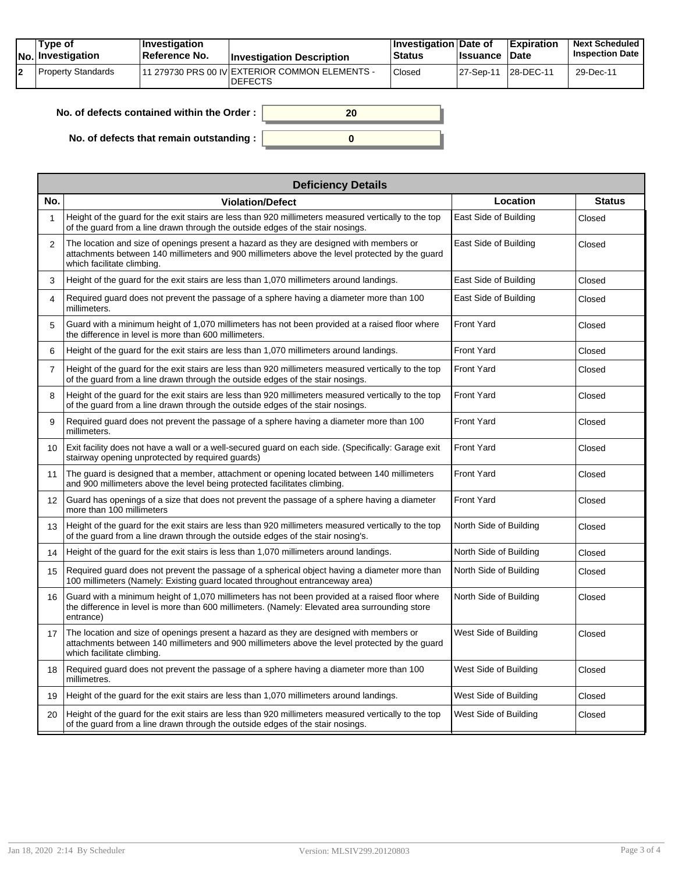|  | Tvpe of<br><b>No.</b> Investigation | <b>Investigation</b><br>Reference No. | <b>Investigation Description</b>                                 | <b>Investigation Date of</b><br><b>Status</b> | <b>Issuance Date</b> | <b>Expiration</b> | <b>Next Scheduled</b><br><b>Inspection Date</b> |
|--|-------------------------------------|---------------------------------------|------------------------------------------------------------------|-----------------------------------------------|----------------------|-------------------|-------------------------------------------------|
|  | Property Standards                  |                                       | 11 279730 PRS 00 IV EXTERIOR COMMON ELEMENTS -<br><b>DEFECTS</b> | Closed                                        | 27-Sep-11            | 28-DEC-11         | 29-Dec-11                                       |

| No. of defects contained within the Order: | 20 |
|--------------------------------------------|----|
| No. of defects that remain outstanding :   |    |

|                 | <b>Deficiency Details</b>                                                                                                                                                                                               |                        |               |  |  |  |  |  |  |
|-----------------|-------------------------------------------------------------------------------------------------------------------------------------------------------------------------------------------------------------------------|------------------------|---------------|--|--|--|--|--|--|
| No.             | <b>Violation/Defect</b>                                                                                                                                                                                                 | Location               | <b>Status</b> |  |  |  |  |  |  |
| $\mathbf{1}$    | Height of the guard for the exit stairs are less than 920 millimeters measured vertically to the top<br>of the quard from a line drawn through the outside edges of the stair nosings.                                  | East Side of Building  | Closed        |  |  |  |  |  |  |
| $\overline{2}$  | The location and size of openings present a hazard as they are designed with members or<br>attachments between 140 millimeters and 900 millimeters above the level protected by the quard<br>which facilitate climbing. | East Side of Building  | Closed        |  |  |  |  |  |  |
| 3               | Height of the guard for the exit stairs are less than 1,070 millimeters around landings.                                                                                                                                | East Side of Building  | Closed        |  |  |  |  |  |  |
| $\overline{4}$  | Required guard does not prevent the passage of a sphere having a diameter more than 100<br>millimeters.                                                                                                                 | East Side of Building  | Closed        |  |  |  |  |  |  |
| 5               | Guard with a minimum height of 1,070 millimeters has not been provided at a raised floor where<br>the difference in level is more than 600 millimeters.                                                                 | <b>Front Yard</b>      | Closed        |  |  |  |  |  |  |
| 6               | Height of the quard for the exit stairs are less than 1,070 millimeters around landings.                                                                                                                                | <b>Front Yard</b>      | Closed        |  |  |  |  |  |  |
| $\overline{7}$  | Height of the quard for the exit stairs are less than 920 millimeters measured vertically to the top<br>of the guard from a line drawn through the outside edges of the stair nosings.                                  | <b>Front Yard</b>      | Closed        |  |  |  |  |  |  |
| 8               | Height of the guard for the exit stairs are less than 920 millimeters measured vertically to the top<br>of the guard from a line drawn through the outside edges of the stair nosings.                                  | <b>Front Yard</b>      | Closed        |  |  |  |  |  |  |
| 9               | Required guard does not prevent the passage of a sphere having a diameter more than 100<br>millimeters.                                                                                                                 | <b>Front Yard</b>      | Closed        |  |  |  |  |  |  |
| 10 <sup>1</sup> | Exit facility does not have a wall or a well-secured guard on each side. (Specifically: Garage exit<br>stairway opening unprotected by required guards)                                                                 | <b>Front Yard</b>      | Closed        |  |  |  |  |  |  |
| 11              | The guard is designed that a member, attachment or opening located between 140 millimeters<br>and 900 millimeters above the level being protected facilitates climbing.                                                 | <b>Front Yard</b>      | Closed        |  |  |  |  |  |  |
| 12              | Guard has openings of a size that does not prevent the passage of a sphere having a diameter<br>more than 100 millimeters                                                                                               | <b>Front Yard</b>      | Closed        |  |  |  |  |  |  |
| 13              | Height of the quard for the exit stairs are less than 920 millimeters measured vertically to the top<br>of the guard from a line drawn through the outside edges of the stair nosing's.                                 | North Side of Building | Closed        |  |  |  |  |  |  |
| 14              | Height of the quard for the exit stairs is less than 1,070 millimeters around landings.                                                                                                                                 | North Side of Building | Closed        |  |  |  |  |  |  |
| 15              | Required guard does not prevent the passage of a spherical object having a diameter more than<br>100 millimeters (Namely: Existing guard located throughout entranceway area)                                           | North Side of Building | Closed        |  |  |  |  |  |  |
| 16              | Guard with a minimum height of 1,070 millimeters has not been provided at a raised floor where<br>the difference in level is more than 600 millimeters. (Namely: Elevated area surrounding store<br>entrance)           | North Side of Building | Closed        |  |  |  |  |  |  |
| 17              | The location and size of openings present a hazard as they are designed with members or<br>attachments between 140 millimeters and 900 millimeters above the level protected by the quard<br>which facilitate climbing. | West Side of Building  | Closed        |  |  |  |  |  |  |
| 18              | Required quard does not prevent the passage of a sphere having a diameter more than 100<br>millimetres.                                                                                                                 | West Side of Building  | Closed        |  |  |  |  |  |  |
| 19              | Height of the quard for the exit stairs are less than 1,070 millimeters around landings.                                                                                                                                | West Side of Building  | Closed        |  |  |  |  |  |  |
| 20              | Height of the quard for the exit stairs are less than 920 millimeters measured vertically to the top<br>of the guard from a line drawn through the outside edges of the stair nosings.                                  | West Side of Building  | Closed        |  |  |  |  |  |  |